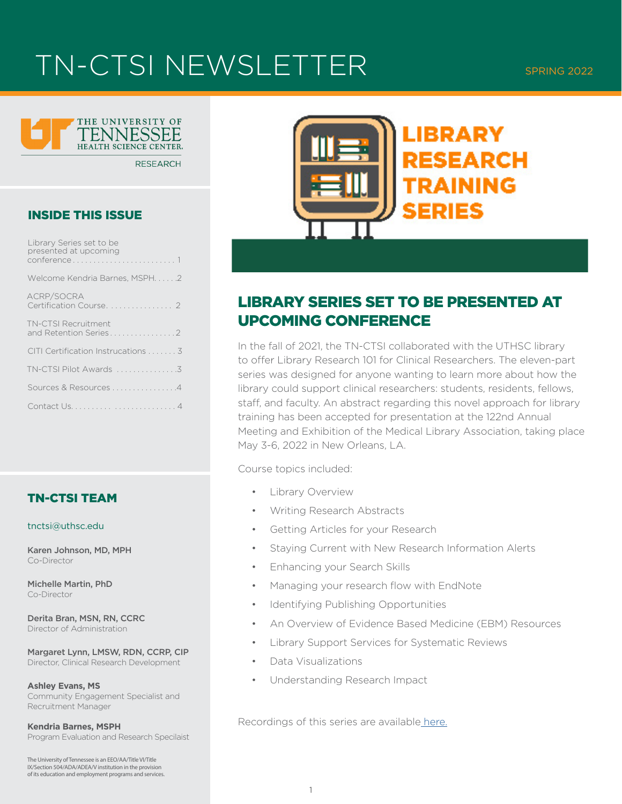## TN-CTSI NEWSLETTER SPRING 2022



**RESEARCH** 

#### INSIDE THIS ISSUE

| Library Series set to be<br>presented at upcoming   |
|-----------------------------------------------------|
| Welcome Kendria Barnes, MSPH2                       |
| ACRP/SOCRA<br>Certification Course. 2               |
| <b>TN-CTSI Recruitment</b><br>and Retention Series2 |
| CITI Certification Instrucations 3                  |
| TN-CTSI Pilot Awards 3                              |
| Sources & Resources 4                               |
|                                                     |

### TN-CTSI TEAM

#### tnctsi@uthsc.edu

Karen Johnson, MD, MPH Co-Director

Michelle Martin, PhD Co-Director

Derita Bran, MSN, RN, CCRC Director of Administration

Margaret Lynn, LMSW, RDN, CCRP, CIP Director, Clinical Research Development

**Ashley Evans, MS** Community Engagement Specialist and Recruitment Manager

**Kendria Barnes, MSPH** Program Evaluation and Research Specilaist

The University of Tennessee is an EEO/AA/Title VI/Title IX/Section 504/ADA/ADEA/V institution in the provision of its education and employment programs and services.



## LIBRARY SERIES SET TO BE PRESENTED AT UPCOMING CONFERENCE

In the fall of 2021, the TN-CTSI collaborated with the UTHSC library to offer Library Research 101 for Clinical Researchers. The eleven-part series was designed for anyone wanting to learn more about how the library could support clinical researchers: students, residents, fellows, staff, and faculty. An abstract regarding this novel approach for library training has been accepted for presentation at the 122nd Annual Meeting and Exhibition of the Medical Library Association, taking place May 3-6, 2022 in New Orleans, LA.

Course topics included:

- Library Overview
- Writing Research Abstracts
- Getting Articles for your Research
- Staying Current with New Research Information Alerts
- Enhancing your Search Skills
- Managing your research flow with EndNote
- Identifying Publishing Opportunities
- An Overview of Evidence Based Medicine (EBM) Resources
- Library Support Services for Systematic Reviews
- Data Visualizations
- Understanding Research Impact

Recordings of this series are availabl[e here.](https://tnctsi.uthsc.edu/training-and-education/seminars-and-workshops/library-research-training-for-clinical-researchers/)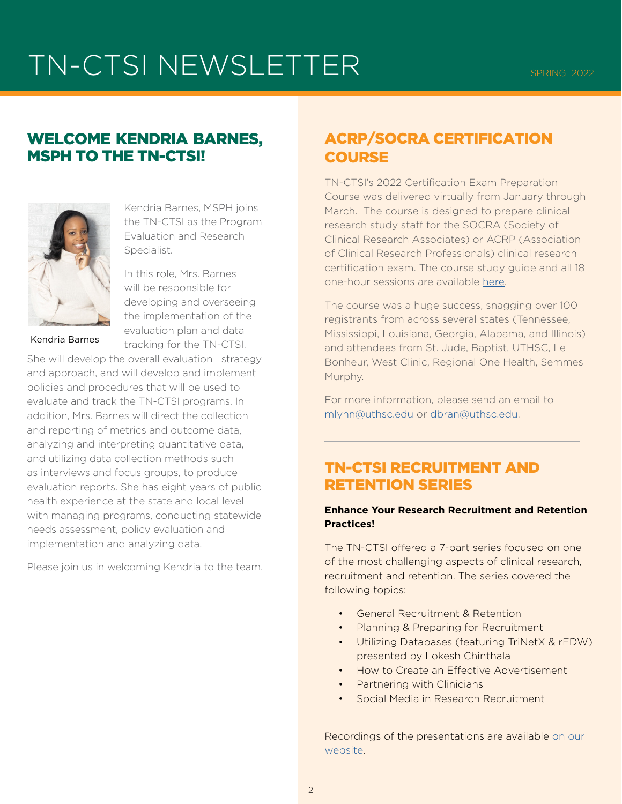# TN-CTSI NEWSLETTER SPRING 2022

### WELCOME KENDRIA BARNES, MSPH TO THE TN-CTSI!



Kendria Barnes, MSPH joins the TN-CTSI as the Program Evaluation and Research Specialist.

In this role, Mrs. Barnes will be responsible for developing and overseeing the implementation of the evaluation plan and data tracking for the TN-CTSI.

Kendria Barnes

She will develop the overall evaluation strategy and approach, and will develop and implement policies and procedures that will be used to evaluate and track the TN-CTSI programs. In addition, Mrs. Barnes will direct the collection and reporting of metrics and outcome data, analyzing and interpreting quantitative data, and utilizing data collection methods such as interviews and focus groups, to produce evaluation reports. She has eight years of public health experience at the state and local level with managing programs, conducting statewide needs assessment, policy evaluation and implementation and analyzing data.

Please join us in welcoming Kendria to the team.

## ACRP/SOCRA CERTIFICATION **COURSE**

TN-CTSI's 2022 Certification Exam Preparation Course was delivered virtually from January through March. The course is designed to prepare clinical research study staff for the SOCRA (Society of Clinical Research Associates) or ACRP (Association of Clinical Research Professionals) clinical research certification exam. The course study guide and all 18 one-hour sessions are available [here.](https://tnctsi.uthsc.edu/training-and-education/seminars-and-workshops/tn-ctsi-certification-exam-preparation-course/)

The course was a huge success, snagging over 100 registrants from across several states (Tennessee, Mississippi, Louisiana, Georgia, Alabama, and Illinois) and attendees from St. Jude, Baptist, UTHSC, Le Bonheur, West Clinic, Regional One Health, Semmes Murphy.

For more information, please send an email to [mlynn@uthsc.edu](mailto:mlynn%40uthsc.edu%20?subject=) or [dbran@uthsc.edu.](mailto:dbran%40uthsc.edu?subject=)

## TN-CTSI RECRUITMENT AND RETENTION SERIES

#### **Enhance Your Research Recruitment and Retention Practices!**

The TN-CTSI offered a 7-part series focused on one of the most challenging aspects of clinical research, recruitment and retention. The series covered the following topics:

- General Recruitment & Retention
- Planning & Preparing for Recruitment
- Utilizing Databases (featuring TriNetX & rEDW) presented by Lokesh Chinthala
- How to Create an Effective Advertisement
- Partnering with Clinicians
- Social Media in Research Recruitment

Recordings of the presentations are available [on our](https://tnctsi.uthsc.edu/training-and-education/seminars-and-workshops/recruitment-and-retention-series/)  [web](https://tnctsi.uthsc.edu/training-and-education/seminars-and-workshops/recruitment-and-retention-series/)site.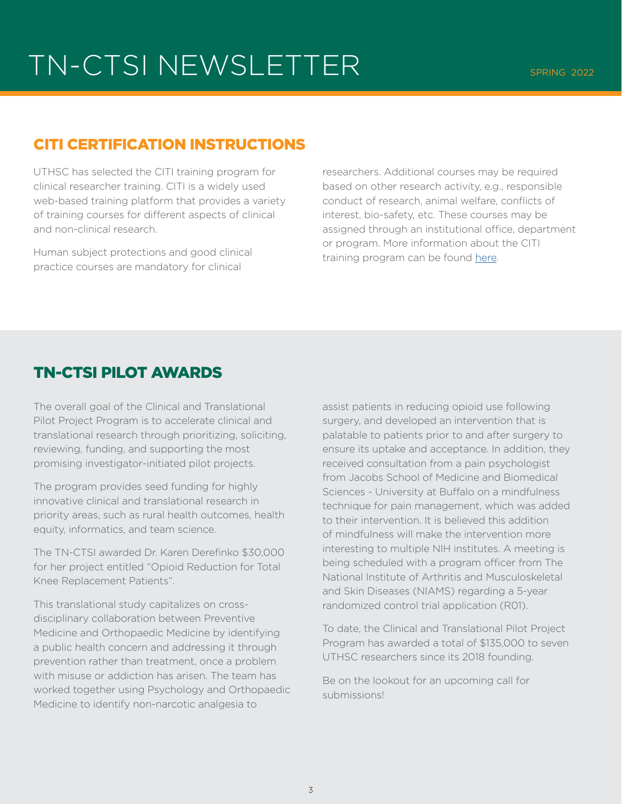## TN-CTSI NEWSLETTER SPRING 2022

### CITI CERTIFICATION INSTRUCTIONS

UTHSC has selected the CITI training program for clinical researcher training. CITI is a widely used web-based training platform that provides a variety of training courses for different aspects of clinical and non-clinical research.

Human subject protections and good clinical practice courses are mandatory for clinical

researchers. Additional courses may be required based on other research activity, e.g., responsible conduct of research, animal welfare, conflicts of interest, bio-safety, etc. These courses may be assigned through an institutional office, department or program. More information about the CITI training program can be found [here](https://tnctsi.uthsc.edu/training-and-education/citi-links-and-information/).

### TN-CTSI PILOT AWARDS

The overall goal of the Clinical and Translational Pilot Project Program is to accelerate clinical and translational research through prioritizing, soliciting, reviewing, funding, and supporting the most promising investigator-initiated pilot projects.

The program provides seed funding for highly innovative clinical and translational research in priority areas, such as rural health outcomes, health equity, informatics, and team science.

The TN-CTSI awarded Dr. Karen Derefinko \$30,000 for her project entitled "Opioid Reduction for Total Knee Replacement Patients".

This translational study capitalizes on crossdisciplinary collaboration between Preventive Medicine and Orthopaedic Medicine by identifying a public health concern and addressing it through prevention rather than treatment, once a problem with misuse or addiction has arisen. The team has worked together using Psychology and Orthopaedic Medicine to identify non-narcotic analgesia to

assist patients in reducing opioid use following surgery, and developed an intervention that is palatable to patients prior to and after surgery to ensure its uptake and acceptance. In addition, they received consultation from a pain psychologist from Jacobs School of Medicine and Biomedical Sciences - University at Buffalo on a mindfulness technique for pain management, which was added to their intervention. It is believed this addition of mindfulness will make the intervention more interesting to multiple NIH institutes. A meeting is being scheduled with a program officer from The National Institute of Arthritis and Musculoskeletal and Skin Diseases (NIAMS) regarding a 5-year randomized control trial application (R01).

To date, the Clinical and Translational Pilot Project Program has awarded a total of \$135,000 to seven UTHSC researchers since its 2018 founding.

Be on the lookout for an upcoming call for submissions!